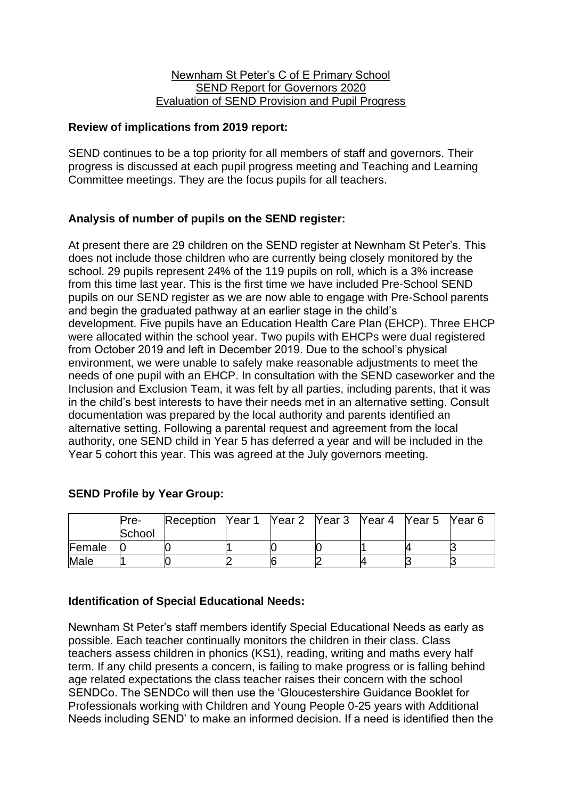### Newnham St Peter's C of E Primary School SEND Report for Governors 2020 Evaluation of SEND Provision and Pupil Progress

# **Review of implications from 2019 report:**

SEND continues to be a top priority for all members of staff and governors. Their progress is discussed at each pupil progress meeting and Teaching and Learning Committee meetings. They are the focus pupils for all teachers.

# **Analysis of number of pupils on the SEND register:**

At present there are 29 children on the SEND register at Newnham St Peter's. This does not include those children who are currently being closely monitored by the school. 29 pupils represent 24% of the 119 pupils on roll, which is a 3% increase from this time last year. This is the first time we have included Pre-School SEND pupils on our SEND register as we are now able to engage with Pre-School parents and begin the graduated pathway at an earlier stage in the child's development. Five pupils have an Education Health Care Plan (EHCP). Three EHCP were allocated within the school year. Two pupils with EHCPs were dual registered from October 2019 and left in December 2019. Due to the school's physical environment, we were unable to safely make reasonable adjustments to meet the needs of one pupil with an EHCP. In consultation with the SEND caseworker and the Inclusion and Exclusion Team, it was felt by all parties, including parents, that it was in the child's best interests to have their needs met in an alternative setting. Consult documentation was prepared by the local authority and parents identified an alternative setting. Following a parental request and agreement from the local authority, one SEND child in Year 5 has deferred a year and will be included in the Year 5 cohort this year. This was agreed at the July governors meeting.

# **SEND Profile by Year Group:**

|        | Pre-   | Reception Year 1 Year 2 Year 3 Year 4 Year 5 Year 6 |  |  |  |
|--------|--------|-----------------------------------------------------|--|--|--|
|        | School |                                                     |  |  |  |
| Female |        |                                                     |  |  |  |
| Male   |        |                                                     |  |  |  |

# **Identification of Special Educational Needs:**

Newnham St Peter's staff members identify Special Educational Needs as early as possible. Each teacher continually monitors the children in their class. Class teachers assess children in phonics (KS1), reading, writing and maths every half term. If any child presents a concern, is failing to make progress or is falling behind age related expectations the class teacher raises their concern with the school SENDCo. The SENDCo will then use the 'Gloucestershire Guidance Booklet for Professionals working with Children and Young People 0-25 years with Additional Needs including SEND' to make an informed decision. If a need is identified then the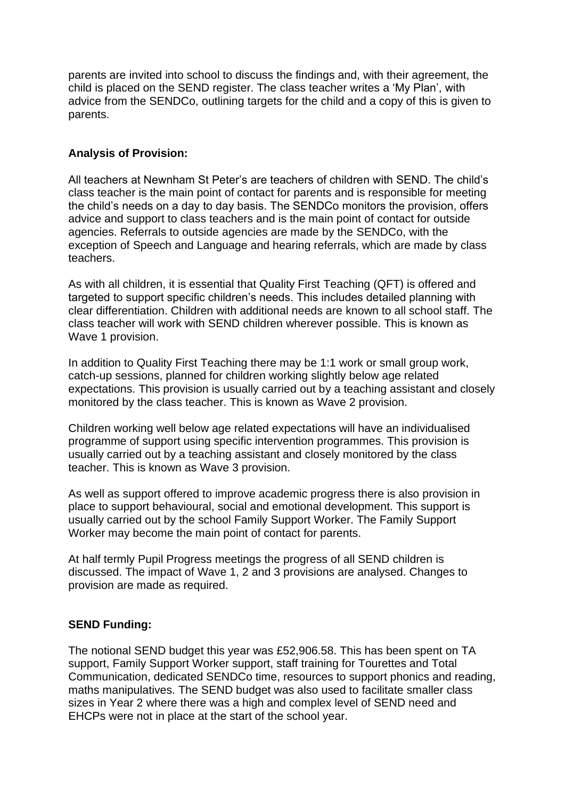parents are invited into school to discuss the findings and, with their agreement, the child is placed on the SEND register. The class teacher writes a 'My Plan', with advice from the SENDCo, outlining targets for the child and a copy of this is given to parents.

# **Analysis of Provision:**

All teachers at Newnham St Peter's are teachers of children with SEND. The child's class teacher is the main point of contact for parents and is responsible for meeting the child's needs on a day to day basis. The SENDCo monitors the provision, offers advice and support to class teachers and is the main point of contact for outside agencies. Referrals to outside agencies are made by the SENDCo, with the exception of Speech and Language and hearing referrals, which are made by class teachers.

As with all children, it is essential that Quality First Teaching (QFT) is offered and targeted to support specific children's needs. This includes detailed planning with clear differentiation. Children with additional needs are known to all school staff. The class teacher will work with SEND children wherever possible. This is known as Wave 1 provision.

In addition to Quality First Teaching there may be 1:1 work or small group work, catch-up sessions, planned for children working slightly below age related expectations. This provision is usually carried out by a teaching assistant and closely monitored by the class teacher. This is known as Wave 2 provision.

Children working well below age related expectations will have an individualised programme of support using specific intervention programmes. This provision is usually carried out by a teaching assistant and closely monitored by the class teacher. This is known as Wave 3 provision.

As well as support offered to improve academic progress there is also provision in place to support behavioural, social and emotional development. This support is usually carried out by the school Family Support Worker. The Family Support Worker may become the main point of contact for parents.

At half termly Pupil Progress meetings the progress of all SEND children is discussed. The impact of Wave 1, 2 and 3 provisions are analysed. Changes to provision are made as required.

# **SEND Funding:**

The notional SEND budget this year was £52,906.58. This has been spent on TA support, Family Support Worker support, staff training for Tourettes and Total Communication, dedicated SENDCo time, resources to support phonics and reading, maths manipulatives. The SEND budget was also used to facilitate smaller class sizes in Year 2 where there was a high and complex level of SEND need and EHCPs were not in place at the start of the school year.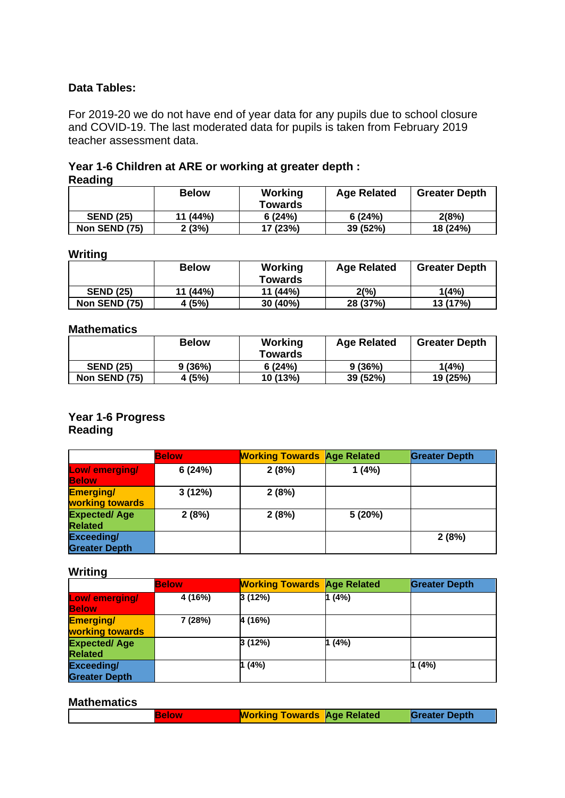# **Data Tables:**

For 2019-20 we do not have end of year data for any pupils due to school closure and COVID-19. The last moderated data for pupils is taken from February 2019 teacher assessment data.

|                | Year 1-6 Children at ARE or working at greater depth : |
|----------------|--------------------------------------------------------|
| <b>Reading</b> |                                                        |

|                      | <b>Below</b> | Working  | <b>Age Related</b> | <b>Greater Depth</b> |
|----------------------|--------------|----------|--------------------|----------------------|
|                      |              | Towards  |                    |                      |
| <b>SEND (25)</b>     | 11 (44%)     | 6(24%)   | 6(24%)             | 2(8%)                |
| <b>Non SEND (75)</b> | 2(3%)        | 17 (23%) | 39 (52%)           | 18 (24%)             |

#### **Writing**

|                      | <b>Below</b> | Working<br><b>Towards</b> | <b>Age Related</b> | <b>Greater Depth</b> |
|----------------------|--------------|---------------------------|--------------------|----------------------|
| <b>SEND (25)</b>     | 11 (44%)     | 11(44%)                   | 2(%)               | 1(4%)                |
| <b>Non SEND (75)</b> | 4 (5%)       | 30 (40%)                  | 28 (37%)           | 13 (17%)             |

# **Mathematics**

|                  | <b>Below</b> | Working<br>Towards | <b>Age Related</b> | <b>Greater Depth</b> |
|------------------|--------------|--------------------|--------------------|----------------------|
| <b>SEND (25)</b> | 9(36%)       | 6(24%)             | 9(36%)             | 1(4%)                |
| Non SEND (75)    | (5%)         | 10(13%)            | 39 (52%)           | 19 (25%)             |

# **Year 1-6 Progress Reading**

|                                           | <b>Below</b> | <b>Working Towards Age Related</b> |        | <b>Greater Depth</b> |
|-------------------------------------------|--------------|------------------------------------|--------|----------------------|
| Low/emerging/<br><b>Below</b>             | 6(24%)       | 2(8%)                              | 1(4%)  |                      |
| <b>Emerging/</b><br>working towards       | 3(12%)       | 2(8%)                              |        |                      |
| <b>Expected/Age</b><br><b>Related</b>     | 2(8%)        | 2(8%)                              | 5(20%) |                      |
| <b>Exceeding/</b><br><b>Greater Depth</b> |              |                                    |        | 2(8%)                |

### **Writing**

| -                                         | <b>Below</b> | <b>Working Towards Age Related</b> |        | <b>Greater Depth</b> |
|-------------------------------------------|--------------|------------------------------------|--------|----------------------|
| Low/emerging/<br><b>Below</b>             | 4 (16%)      | 3(12%)                             | (4%)   |                      |
| <b>Emerging/</b><br>working towards       | 7 (28%)      | 4 (16%)                            |        |                      |
| <b>Expected/Age</b><br><b>Related</b>     |              | 3(12%)                             | 1 (4%) |                      |
| <b>Exceeding/</b><br><b>Greater Depth</b> |              | 1 (4%)                             |        | 1(4%)                |

#### **Mathematics**

| . |              |                                    |  |                      |  |
|---|--------------|------------------------------------|--|----------------------|--|
|   | <b>selow</b> | <b>Working Towards Age Related</b> |  | <b>Greater Depth</b> |  |